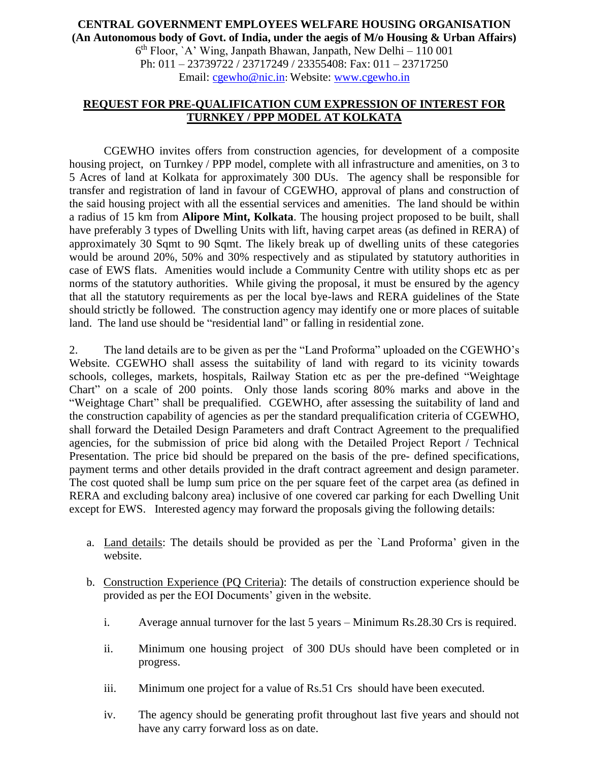## **CENTRAL GOVERNMENT EMPLOYEES WELFARE HOUSING ORGANISATION (An Autonomous body of Govt. of India, under the aegis of M/o Housing & Urban Affairs)** 6 th Floor, `A' Wing, Janpath Bhawan, Janpath, New Delhi – 110 001 Ph: 011 – 23739722 / 23717249 / 23355408: Fax: 011 – 23717250 Email: [cgewho@nic.in](mailto:cgewho@nic.in): Website: [www.cgewho.in](http://www.cgewho.in/)

## **REQUEST FOR PRE-QUALIFICATION CUM EXPRESSION OF INTEREST FOR TURNKEY / PPP MODEL AT KOLKATA**

CGEWHO invites offers from construction agencies, for development of a composite housing project, on Turnkey / PPP model, complete with all infrastructure and amenities, on 3 to 5 Acres of land at Kolkata for approximately 300 DUs. The agency shall be responsible for transfer and registration of land in favour of CGEWHO, approval of plans and construction of the said housing project with all the essential services and amenities. The land should be within a radius of 15 km from **Alipore Mint, Kolkata**. The housing project proposed to be built, shall have preferably 3 types of Dwelling Units with lift, having carpet areas (as defined in RERA) of approximately 30 Sqmt to 90 Sqmt. The likely break up of dwelling units of these categories would be around 20%, 50% and 30% respectively and as stipulated by statutory authorities in case of EWS flats. Amenities would include a Community Centre with utility shops etc as per norms of the statutory authorities. While giving the proposal, it must be ensured by the agency that all the statutory requirements as per the local bye-laws and RERA guidelines of the State should strictly be followed. The construction agency may identify one or more places of suitable land. The land use should be "residential land" or falling in residential zone.

2. The land details are to be given as per the "Land Proforma" uploaded on the CGEWHO's Website. CGEWHO shall assess the suitability of land with regard to its vicinity towards schools, colleges, markets, hospitals, Railway Station etc as per the pre-defined "Weightage Chart" on a scale of 200 points. Only those lands scoring 80% marks and above in the "Weightage Chart" shall be prequalified. CGEWHO, after assessing the suitability of land and the construction capability of agencies as per the standard prequalification criteria of CGEWHO, shall forward the Detailed Design Parameters and draft Contract Agreement to the prequalified agencies, for the submission of price bid along with the Detailed Project Report / Technical Presentation. The price bid should be prepared on the basis of the pre- defined specifications, payment terms and other details provided in the draft contract agreement and design parameter. The cost quoted shall be lump sum price on the per square feet of the carpet area (as defined in RERA and excluding balcony area) inclusive of one covered car parking for each Dwelling Unit except for EWS. Interested agency may forward the proposals giving the following details:

- a. Land details: The details should be provided as per the `Land Proforma' given in the website.
- b. Construction Experience (PQ Criteria): The details of construction experience should be provided as per the EOI Documents' given in the website.
	- i. Average annual turnover for the last 5 years Minimum Rs.28.30 Crs is required.
	- ii. Minimum one housing project of 300 DUs should have been completed or in progress.
	- iii. Minimum one project for a value of Rs.51 Crs should have been executed.
	- iv. The agency should be generating profit throughout last five years and should not have any carry forward loss as on date.